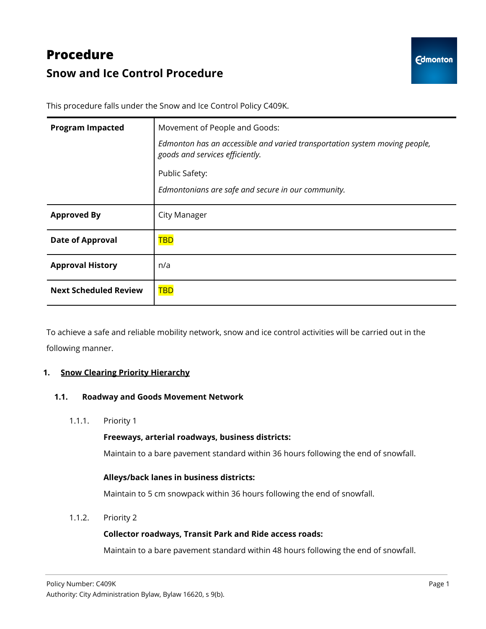# **Procedure Snow and Ice Control Procedure**

This procedure falls under the Snow and Ice Control Policy C409K.

| <b>Program Impacted</b>      | Movement of People and Goods:                                                                                 |
|------------------------------|---------------------------------------------------------------------------------------------------------------|
|                              | Edmonton has an accessible and varied transportation system moving people,<br>goods and services efficiently. |
|                              | Public Safety:                                                                                                |
|                              | Edmontonians are safe and secure in our community.                                                            |
| <b>Approved By</b>           | City Manager                                                                                                  |
| <b>Date of Approval</b>      | TBD                                                                                                           |
| <b>Approval History</b>      | n/a                                                                                                           |
| <b>Next Scheduled Review</b> | <b>TBD</b>                                                                                                    |

To achieve a safe and reliable mobility network, snow and ice control activities will be carried out in the following manner.

## **1. Snow Clearing Priority Hierarchy**

## **1.1. Roadway and Goods Movement Network**

1.1.1. Priority 1

## **Freeways, arterial roadways, business districts:**

Maintain to a bare pavement standard within 36 hours following the end of snowfall.

## **Alleys/back lanes in business districts:**

Maintain to 5 cm snowpack within 36 hours following the end of snowfall.

1.1.2. Priority 2

## **Collector roadways, Transit Park and Ride access roads:**

Maintain to a bare pavement standard within 48 hours following the end of snowfall.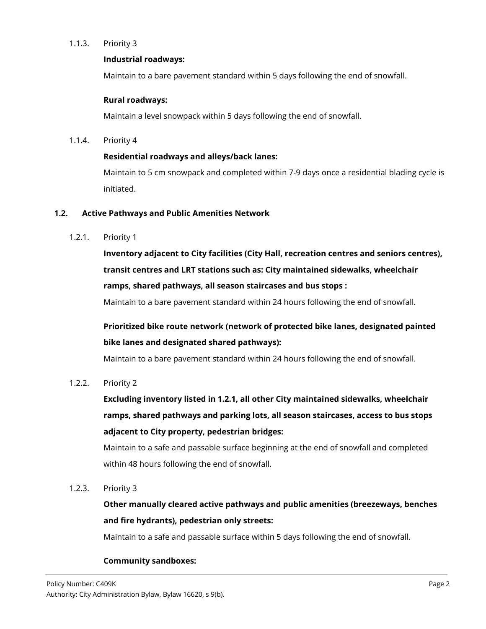## 1.1.3. Priority 3

#### **Industrial roadways:**

Maintain to a bare pavement standard within 5 days following the end of snowfall.

#### **Rural roadways:**

Maintain a level snowpack within 5 days following the end of snowfall.

1.1.4. Priority 4

#### **Residential roadways and alleys/back lanes:**

Maintain to 5 cm snowpack and completed within 7-9 days once a residential blading cycle is initiated.

#### **1.2. Active Pathways and Public Amenities Network**

1.2.1. Priority 1

**Inventory adjacent to City facilities (City Hall, recreation centres and seniors centres), transit centres and LRT stations such as: City maintained sidewalks, wheelchair ramps, shared pathways, all season staircases and bus stops :**

Maintain to a bare pavement standard within 24 hours following the end of snowfall.

**Prioritized bike route network (network of protected bike lanes, designated painted bike lanes and designated shared pathways):**

Maintain to a bare pavement standard within 24 hours following the end of snowfall.

1.2.2. Priority 2

**Excluding inventory listed in 1.2.1, all other City maintained sidewalks, wheelchair ramps, shared pathways and parking lots, all season staircases, access to bus stops adjacent to City property, pedestrian bridges:**

Maintain to a safe and passable surface beginning at the end of snowfall and completed within 48 hours following the end of snowfall.

1.2.3. Priority 3

**Other manually cleared active pathways and public amenities (breezeways, benches and fire hydrants), pedestrian only streets:**

Maintain to a safe and passable surface within 5 days following the end of snowfall.

## **Community sandboxes:**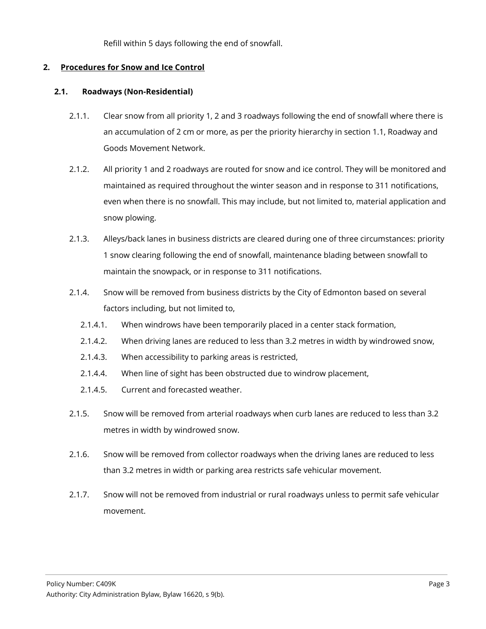Refill within 5 days following the end of snowfall.

# **2. Procedures for Snow and Ice Control**

# **2.1. Roadways (Non-Residential)**

- 2.1.1. Clear snow from all priority 1, 2 and 3 roadways following the end of snowfall where there is an accumulation of 2 cm or more, as per the priority hierarchy in section 1.1, Roadway and Goods Movement Network.
- 2.1.2. All priority 1 and 2 roadways are routed for snow and ice control. They will be monitored and maintained as required throughout the winter season and in response to 311 notifications, even when there is no snowfall. This may include, but not limited to, material application and snow plowing.
- 2.1.3. Alleys/back lanes in business districts are cleared during one of three circumstances: priority 1 snow clearing following the end of snowfall, maintenance blading between snowfall to maintain the snowpack, or in response to 311 notifications.
- 2.1.4. Snow will be removed from business districts by the City of Edmonton based on several factors including, but not limited to,
	- 2.1.4.1. When windrows have been temporarily placed in a center stack formation,
	- 2.1.4.2. When driving lanes are reduced to less than 3.2 metres in width by windrowed snow,
	- 2.1.4.3. When accessibility to parking areas is restricted,
	- 2.1.4.4. When line of sight has been obstructed due to windrow placement,
	- 2.1.4.5. Current and forecasted weather.
- 2.1.5. Snow will be removed from arterial roadways when curb lanes are reduced to less than 3.2 metres in width by windrowed snow.
- 2.1.6. Snow will be removed from collector roadways when the driving lanes are reduced to less than 3.2 metres in width or parking area restricts safe vehicular movement.
- 2.1.7. Snow will not be removed from industrial or rural roadways unless to permit safe vehicular movement.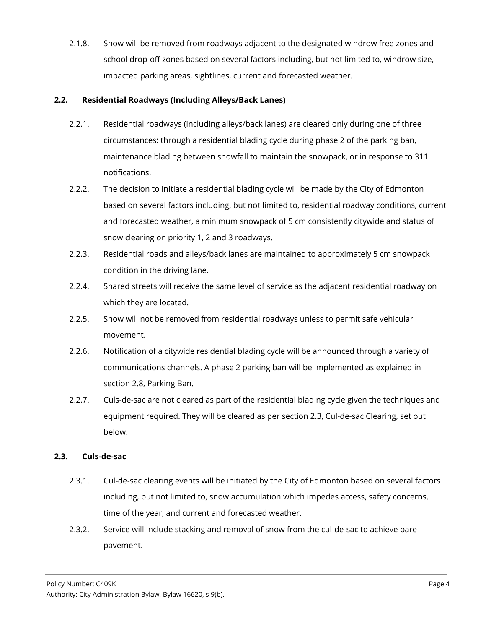2.1.8. Snow will be removed from roadways adjacent to the designated windrow free zones and school drop-off zones based on several factors including, but not limited to, windrow size, impacted parking areas, sightlines, current and forecasted weather.

## **2.2. Residential Roadways (Including Alleys/Back Lanes)**

- 2.2.1. Residential roadways (including alleys/back lanes) are cleared only during one of three circumstances: through a residential blading cycle during phase 2 of the parking ban, maintenance blading between snowfall to maintain the snowpack, or in response to 311 notifications.
- 2.2.2. The decision to initiate a residential blading cycle will be made by the City of Edmonton based on several factors including, but not limited to, residential roadway conditions, current and forecasted weather, a minimum snowpack of 5 cm consistently citywide and status of snow clearing on priority 1, 2 and 3 roadways.
- 2.2.3. Residential roads and alleys/back lanes are maintained to approximately 5 cm snowpack condition in the driving lane.
- 2.2.4. Shared streets will receive the same level of service as the adjacent residential roadway on which they are located.
- 2.2.5. Snow will not be removed from residential roadways unless to permit safe vehicular movement.
- 2.2.6. Notification of a citywide residential blading cycle will be announced through a variety of communications channels. A phase 2 parking ban will be implemented as explained in section 2.8, Parking Ban.
- 2.2.7. Culs-de-sac are not cleared as part of the residential blading cycle given the techniques and equipment required. They will be cleared as per section 2.3, Cul-de-sac Clearing, set out below.

## **2.3. Culs-de-sac**

- 2.3.1. Cul-de-sac clearing events will be initiated by the City of Edmonton based on several factors including, but not limited to, snow accumulation which impedes access, safety concerns, time of the year, and current and forecasted weather.
- 2.3.2. Service will include stacking and removal of snow from the cul-de-sac to achieve bare pavement.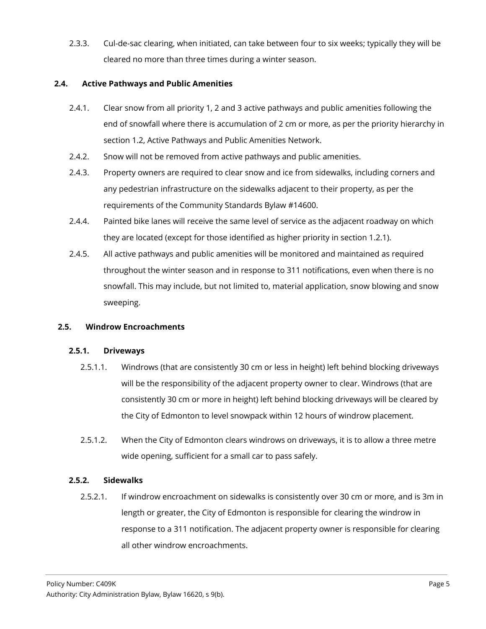2.3.3. Cul-de-sac clearing, when initiated, can take between four to six weeks; typically they will be cleared no more than three times during a winter season.

# **2.4. Active Pathways and Public Amenities**

- 2.4.1. Clear snow from all priority 1, 2 and 3 active pathways and public amenities following the end of snowfall where there is accumulation of 2 cm or more, as per the priority hierarchy in section 1.2, Active Pathways and Public Amenities Network.
- 2.4.2. Snow will not be removed from active pathways and public amenities.
- 2.4.3. Property owners are required to clear snow and ice from sidewalks, including corners and any pedestrian infrastructure on the sidewalks adjacent to their property, as per the requirements of the Community Standards Bylaw #14600.
- 2.4.4. Painted bike lanes will receive the same level of service as the adjacent roadway on which they are located (except for those identified as higher priority in section 1.2.1).
- 2.4.5. All active pathways and public amenities will be monitored and maintained as required throughout the winter season and in response to 311 notifications, even when there is no snowfall. This may include, but not limited to, material application, snow blowing and snow sweeping.

## **2.5. Windrow Encroachments**

## **2.5.1. Driveways**

- 2.5.1.1. Windrows (that are consistently 30 cm or less in height) left behind blocking driveways will be the responsibility of the adjacent property owner to clear. Windrows (that are consistently 30 cm or more in height) left behind blocking driveways will be cleared by the City of Edmonton to level snowpack within 12 hours of windrow placement.
- 2.5.1.2. When the City of Edmonton clears windrows on driveways, it is to allow a three metre wide opening, sufficient for a small car to pass safely.

## **2.5.2. Sidewalks**

2.5.2.1. If windrow encroachment on sidewalks is consistently over 30 cm or more, and is 3m in length or greater, the City of Edmonton is responsible for clearing the windrow in response to a 311 notification. The adjacent property owner is responsible for clearing all other windrow encroachments.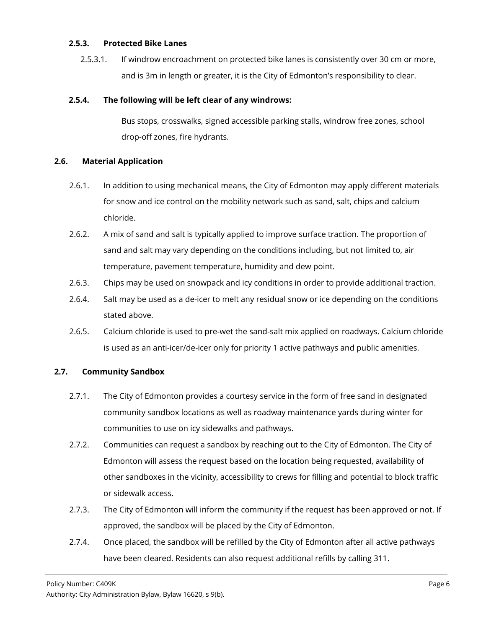#### **2.5.3. Protected Bike Lanes**

2.5.3.1. If windrow encroachment on protected bike lanes is consistently over 30 cm or more, and is 3m in length or greater, it is the City of Edmonton's responsibility to clear.

# **2.5.4. The following will be left clear of any windrows:**

Bus stops, crosswalks, signed accessible parking stalls, windrow free zones, school drop-off zones, fire hydrants.

## **2.6. Material Application**

- 2.6.1. In addition to using mechanical means, the City of Edmonton may apply different materials for snow and ice control on the mobility network such as sand, salt, chips and calcium chloride.
- 2.6.2. A mix of sand and salt is typically applied to improve surface traction. The proportion of sand and salt may vary depending on the conditions including, but not limited to, air temperature, pavement temperature, humidity and dew point.
- 2.6.3. Chips may be used on snowpack and icy conditions in order to provide additional traction.
- 2.6.4. Salt may be used as a de-icer to melt any residual snow or ice depending on the conditions stated above.
- 2.6.5. Calcium chloride is used to pre-wet the sand-salt mix applied on roadways. Calcium chloride is used as an anti-icer/de-icer only for priority 1 active pathways and public amenities.

## **2.7. Community Sandbox**

- 2.7.1. The City of Edmonton provides a courtesy service in the form of free sand in designated community sandbox locations as well as roadway maintenance yards during winter for communities to use on icy sidewalks and pathways.
- 2.7.2. Communities can request a sandbox by reaching out to the City of Edmonton. The City of Edmonton will assess the request based on the location being requested, availability of other sandboxes in the vicinity, accessibility to crews for filling and potential to block traffic or sidewalk access.
- 2.7.3. The City of Edmonton will inform the community if the request has been approved or not. If approved, the sandbox will be placed by the City of Edmonton.
- 2.7.4. Once placed, the sandbox will be refilled by the City of Edmonton after all active pathways have been cleared. Residents can also request additional refills by calling 311.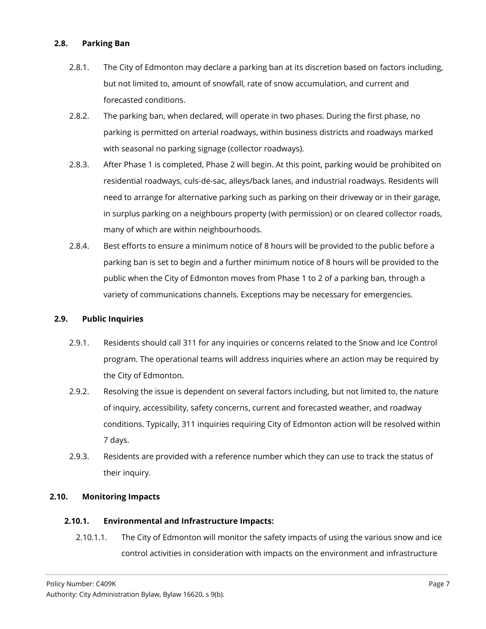# **2.8. Parking Ban**

- 2.8.1. The City of Edmonton may declare a parking ban at its discretion based on factors including, but not limited to, amount of snowfall, rate of snow accumulation, and current and forecasted conditions.
- 2.8.2. The parking ban, when declared, will operate in two phases. During the first phase, no parking is permitted on arterial roadways, within business districts and roadways marked with seasonal no parking signage (collector roadways).
- 2.8.3. After Phase 1 is completed, Phase 2 will begin. At this point, parking would be prohibited on residential roadways, culs-de-sac, alleys/back lanes, and industrial roadways. Residents will need to arrange for alternative parking such as parking on their driveway or in their garage, in surplus parking on a neighbours property (with permission) or on cleared collector roads, many of which are within neighbourhoods.
- 2.8.4. Best efforts to ensure a minimum notice of 8 hours will be provided to the public before a parking ban is set to begin and a further minimum notice of 8 hours will be provided to the public when the City of Edmonton moves from Phase 1 to 2 of a parking ban, through a variety of communications channels. Exceptions may be necessary for emergencies.

# **2.9. Public Inquiries**

- 2.9.1. Residents should call 311 for any inquiries or concerns related to the Snow and Ice Control program. The operational teams will address inquiries where an action may be required by the City of Edmonton.
- 2.9.2. Resolving the issue is dependent on several factors including, but not limited to, the nature of inquiry, accessibility, safety concerns, current and forecasted weather, and roadway conditions. Typically, 311 inquiries requiring City of Edmonton action will be resolved within 7 days.
- 2.9.3. Residents are provided with a reference number which they can use to track the status of their inquiry.

## **2.10. Monitoring Impacts**

## **2.10.1. Environmental and Infrastructure Impacts:**

2.10.1.1. The City of Edmonton will monitor the safety impacts of using the various snow and ice control activities in consideration with impacts on the environment and infrastructure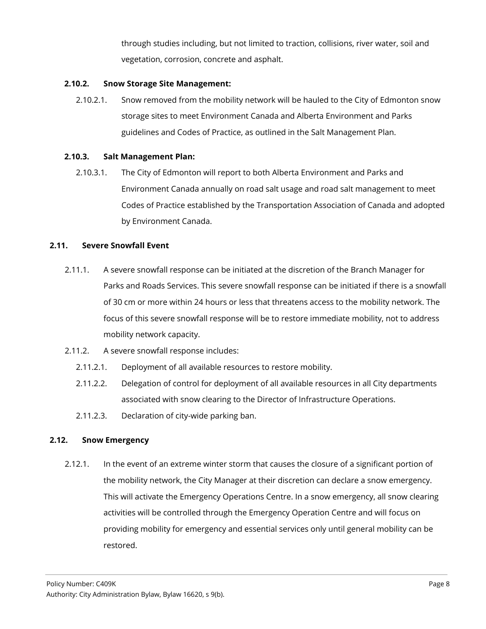through studies including, but not limited to traction, collisions, river water, soil and vegetation, corrosion, concrete and asphalt.

# **2.10.2. Snow Storage Site Management:**

2.10.2.1. Snow removed from the mobility network will be hauled to the City of Edmonton snow storage sites to meet Environment Canada and Alberta Environment and Parks guidelines and Codes of Practice, as outlined in the Salt Management Plan.

## **2.10.3. Salt Management Plan:**

2.10.3.1. The City of Edmonton will report to both Alberta Environment and Parks and Environment Canada annually on road salt usage and road salt management to meet Codes of Practice established by the Transportation Association of Canada and adopted by Environment Canada.

#### **2.11. Severe Snowfall Event**

- 2.11.1. A severe snowfall response can be initiated at the discretion of the Branch Manager for Parks and Roads Services. This severe snowfall response can be initiated if there is a snowfall of 30 cm or more within 24 hours or less that threatens access to the mobility network. The focus of this severe snowfall response will be to restore immediate mobility, not to address mobility network capacity.
- 2.11.2. A severe snowfall response includes:
	- 2.11.2.1. Deployment of all available resources to restore mobility.
	- 2.11.2.2. Delegation of control for deployment of all available resources in all City departments associated with snow clearing to the Director of Infrastructure Operations.
	- 2.11.2.3. Declaration of city-wide parking ban.

## **2.12. Snow Emergency**

2.12.1. In the event of an extreme winter storm that causes the closure of a significant portion of the mobility network, the City Manager at their discretion can declare a snow emergency. This will activate the Emergency Operations Centre. In a snow emergency, all snow clearing activities will be controlled through the Emergency Operation Centre and will focus on providing mobility for emergency and essential services only until general mobility can be restored.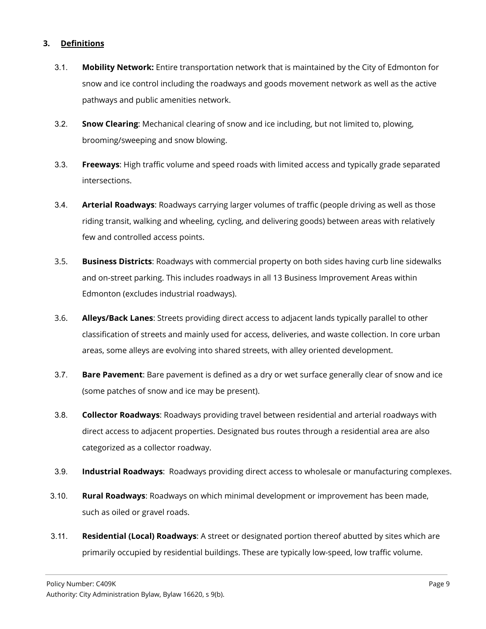# **3. Definitions**

- 3.1. **Mobility Network:** Entire transportation network that is maintained by the City of Edmonton for snow and ice control including the roadways and goods movement network as well as the active pathways and public amenities network.
- 3.2. **Snow Clearing**: Mechanical clearing of snow and ice including, but not limited to, plowing, brooming/sweeping and snow blowing.
- 3.3. **Freeways**: High traffic volume and speed roads with limited access and typically grade separated intersections.
- 3.4. **Arterial Roadways**: Roadways carrying larger volumes of traffic (people driving as well as those riding transit, walking and wheeling, cycling, and delivering goods) between areas with relatively few and controlled access points.
- 3.5. **Business Districts**: Roadways with commercial property on both sides having curb line sidewalks and on-street parking. This includes roadways in all 13 Business Improvement Areas within Edmonton (excludes industrial roadways).
- 3.6. **Alleys/Back Lanes**: Streets providing direct access to adjacent lands typically parallel to other classification of streets and mainly used for access, deliveries, and waste collection. In core urban areas, some alleys are evolving into shared streets, with alley oriented development.
- 3.7. **Bare Pavement**: Bare pavement is defined as a dry or wet surface generally clear of snow and ice (some patches of snow and ice may be present).
- 3.8. **Collector Roadways**: Roadways providing travel between residential and arterial roadways with direct access to adjacent properties. Designated bus routes through a residential area are also categorized as a collector roadway.
- 3.9. **Industrial Roadways**: Roadways providing direct access to wholesale or manufacturing complexes.
- 3.10. **Rural Roadways**: Roadways on which minimal development or improvement has been made, such as oiled or gravel roads.
- 3.11. **Residential (Local) Roadways**: A street or designated portion thereof abutted by sites which are primarily occupied by residential buildings. These are typically low-speed, low traffic volume.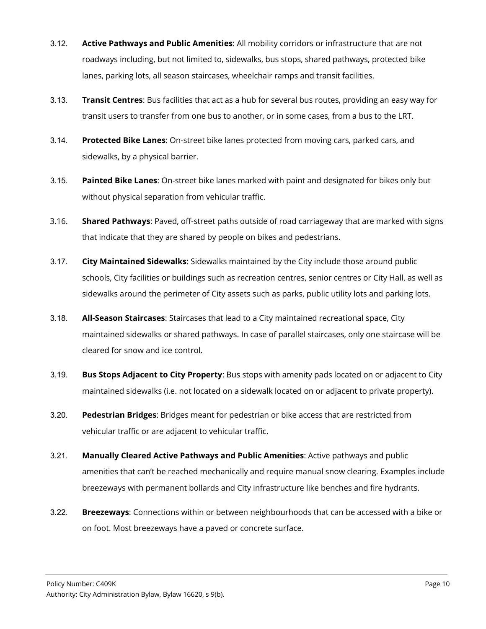- 3.12. **Active Pathways and Public Amenities**: All mobility corridors or infrastructure that are not roadways including, but not limited to, sidewalks, bus stops, shared pathways, protected bike lanes, parking lots, all season staircases, wheelchair ramps and transit facilities.
- 3.13. **Transit Centres**: Bus facilities that act as a hub for several bus routes, providing an easy way for transit users to transfer from one bus to another, or in some cases, from a bus to the LRT.
- 3.14. **Protected Bike Lanes**: On-street bike lanes protected from moving cars, parked cars, and sidewalks, by a physical barrier.
- 3.15. **Painted Bike Lanes**: On-street bike lanes marked with paint and designated for bikes only but without physical separation from vehicular traffic.
- 3.16. **Shared Pathways**: Paved, off-street paths outside of road carriageway that are marked with signs that indicate that they are shared by people on bikes and pedestrians.
- 3.17. **City Maintained Sidewalks**: Sidewalks maintained by the City include those around public schools, City facilities or buildings such as recreation centres, senior centres or City Hall, as well as sidewalks around the perimeter of City assets such as parks, public utility lots and parking lots.
- 3.18. **All-Season Staircases**: Staircases that lead to a City maintained recreational space, City maintained sidewalks or shared pathways. In case of parallel staircases, only one staircase will be cleared for snow and ice control.
- 3.19. **Bus Stops Adjacent to City Property**: Bus stops with amenity pads located on or adjacent to City maintained sidewalks (i.e. not located on a sidewalk located on or adjacent to private property).
- 3.20. **Pedestrian Bridges**: Bridges meant for pedestrian or bike access that are restricted from vehicular traffic or are adjacent to vehicular traffic.
- 3.21. **Manually Cleared Active Pathways and Public Amenities**: Active pathways and public amenities that can't be reached mechanically and require manual snow clearing. Examples include breezeways with permanent bollards and City infrastructure like benches and fire hydrants.
- 3.22. **Breezeways**: Connections within or between neighbourhoods that can be accessed with a bike or on foot. Most breezeways have a paved or concrete surface.